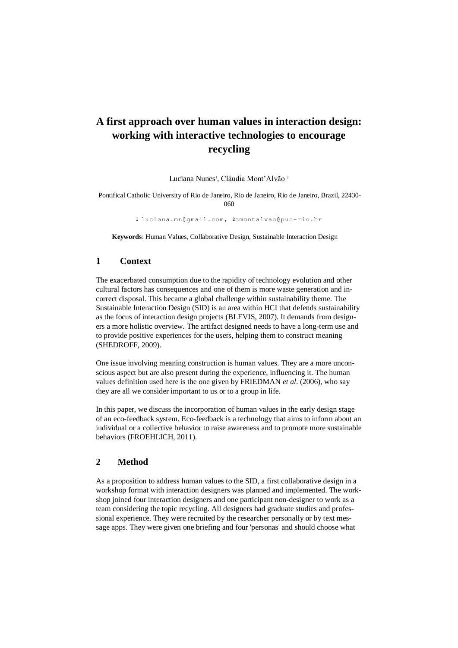# **A first approach over human values in interaction design: working with interactive technologies to encourage recycling**

Luciana Nunes<sup>1</sup>, Cláudia Mont'Alvão<sup>2</sup>

Pontifical Catholic University of Rio de Janeiro, Rio de Janeiro, Rio de Janeiro, Brazil, 22430- 060

1 luciana.mn@gmail.com, 2cmontalvao@puc-rio.br

**Keywords**: Human Values, Collaborative Design, Sustainable Interaction Design

#### **1 Context**

The exacerbated consumption due to the rapidity of technology evolution and other cultural factors has consequences and one of them is more waste generation and incorrect disposal. This became a global challenge within sustainability theme. The Sustainable Interaction Design (SID) is an area within HCI that defends sustainability as the focus of interaction design projects (BLEVIS, 2007). It demands from designers a more holistic overview. The artifact designed needs to have a long-term use and to provide positive experiences for the users, helping them to construct meaning (SHEDROFF, 2009).

One issue involving meaning construction is human values. They are a more unconscious aspect but are also present during the experience, influencing it. The human values definition used here is the one given by FRIEDMAN *et al*. (2006), who say they are all we consider important to us or to a group in life.

In this paper, we discuss the incorporation of human values in the early design stage of an eco-feedback system. Eco-feedback is a technology that aims to inform about an individual or a collective behavior to raise awareness and to promote more sustainable behaviors (FROEHLICH, 2011).

# **2 Method**

As a proposition to address human values to the SID, a first collaborative design in a workshop format with interaction designers was planned and implemented. The workshop joined four interaction designers and one participant non-designer to work as a team considering the topic recycling. All designers had graduate studies and professional experience. They were recruited by the researcher personally or by text message apps. They were given one briefing and four 'personas' and should choose what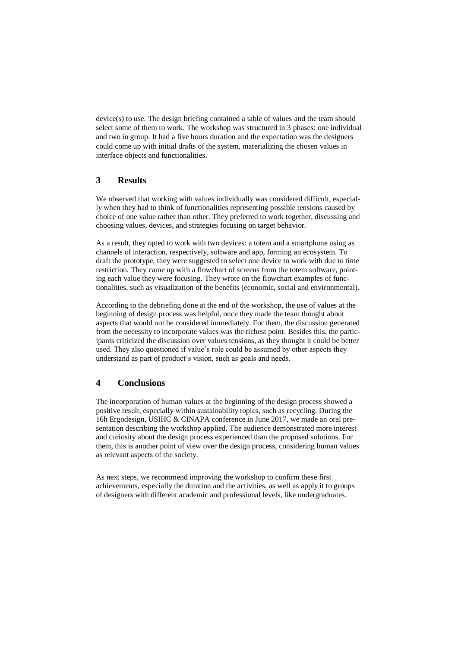device(s) to use. The design briefing contained a table of values and the team should select some of them to work. The workshop was structured in 3 phases: one individual and two in group. It had a five hours duration and the expectation was the designers could come up with initial drafts of the system, materializing the chosen values in interface objects and functionalities.

### **3 Results**

We observed that working with values individually was considered difficult, especially when they had to think of functionalities representing possible tensions caused by choice of one value rather than other. They preferred to work together, discussing and choosing values, devices, and strategies focusing on target behavior.

As a result, they opted to work with two devices: a totem and a smartphone using as channels of interaction, respectively, software and app, forming an ecosystem. To draft the prototype, they were suggested to select one device to work with due to time restriction. They came up with a flowchart of screens from the totem software, pointing each value they were focusing. They wrote on the flowchart examples of functionalities, such as visualization of the benefits (economic, social and environmental).

According to the debriefing done at the end of the workshop, the use of values at the beginning of design process was helpful, once they made the team thought about aspects that would not be considered immediately. For them, the discussion generated from the necessity to incorporate values was the richest point. Besides this, the participants criticized the discussion over values tensions, as they thought it could be better used. They also questioned if value's role could be assumed by other aspects they understand as part of product's vision, such as goals and needs.

# **4 Conclusions**

The incorporation of human values at the beginning of the design process showed a positive result, especially within sustainability topics, such as recycling. During the 16h Ergodesign, USIHC & CINAPA conference in June 2017, we made an oral presentation describing the workshop applied. The audience demonstrated more interest and curiosity about the design process experienced than the proposed solutions. For them, this is another point of view over the design process, considering human values as relevant aspects of the society.

As next steps, we recommend improving the workshop to confirm these first achievements, especially the duration and the activities, as well as apply it to groups of designers with different academic and professional levels, like undergraduates.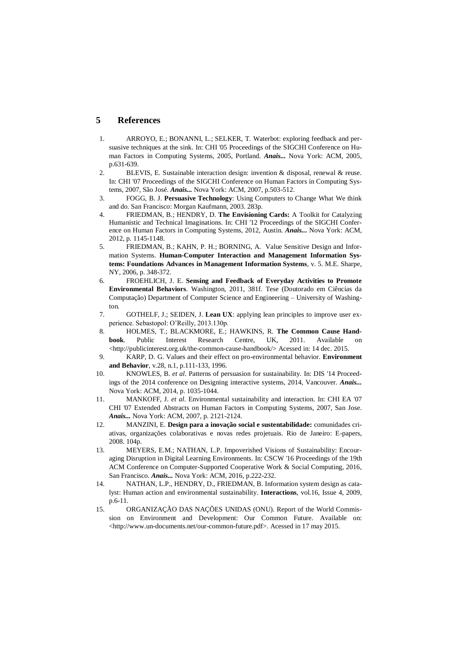### **5 References**

- 1. ARROYO, E.; BONANNI, L.; SELKER, T. Waterbot: exploring feedback and persuasive techniques at the sink. In: CHI '05 Proceedings of the SIGCHI Conference on Human Factors in Computing Systems, 2005, Portland. *Anais...* Nova York: ACM, 2005, p.631-639.
- 2. BLEVIS, E. Sustainable interaction design: invention & disposal, renewal & reuse. In: CHI '07 Proceedings of the SIGCHI Conference on Human Factors in Computing Systems, 2007, São José. *Anais...* Nova York: ACM, 2007, p.503-512.
- 3. FOGG, B. J. **Persuasive Technology**: Using Computers to Change What We think and do. San Francisco: Morgan Kaufmann, 2003. 283p.
- 4. FRIEDMAN, B.; HENDRY, D. **The Envisioning Cards:** A Toolkit for Catalyzing Humanistic and Technical Imaginations. In: CHI '12 Proceedings of the SIGCHI Conference on Human Factors in Computing Systems, 2012, Austin. *Anais...* Nova York: ACM, 2012, p. 1145-1148.
- 5. FRIEDMAN, B.; KAHN, P. H.; BORNING, A. Value Sensitive Design and Information Systems. **Human-Computer Interaction and Management Information Systems: Foundations Advances in Management Information Systems**, v. 5. M.E. Sharpe, NY, 2006, p. 348-372.
- 6. FROEHLICH, J. E. **Sensing and Feedback of Everyday Activities to Promote Environmental Behaviors**. Washington, 2011, 381f. Tese (Doutorado em Ciências da Computação) Department of Computer Science and Engineering – University of Washington.
- 7. GOTHELF, J.; SEIDEN, J. **Lean UX**: applying lean principles to improve user experience. Sebastopol: O'Reilly, 2013.130p.
- 8. HOLMES, T.; BLACKMORE, E.; HAWKINS, R. **The Common Cause Handbook**. Public Interest Research Centre, UK, 2011. Available on <http://publicinterest.org.uk/the-common-cause-handbook/> Acessed in: 14 dec. 2015.
- 9. KARP, D. G. Values and their effect on pro-environmental behavior. **Environment and Behavior**, v.28, n.1, p.111-133, 1996.
- 10. KNOWLES, B. *et al*. Patterns of persuasion for sustainability. In: DIS '14 Proceedings of the 2014 conference on Designing interactive systems, 2014, Vancouver. *Anais...* Nova York: ACM, 2014, p. 1035-1044.
- 11. MANKOFF, J*. et al*. Environmental sustainability and interaction. In: CHI EA '07 CHI '07 Extended Abstracts on Human Factors in Computing Systems, 2007, San Jose. *Anais...* Nova York: ACM, 2007, p. 2121-2124.
- 12. MANZINI, E. **Design para a inovação social e sustentabilidade:** comunidades criativas, organizações colaborativas e novas redes projetuais. Rio de Janeiro: E-papers, 2008. 104p.
- 13. MEYERS, E.M.; NATHAN, L.P. Impoverished Visions of Sustainability: Encouraging Disruption in Digital Learning Environments. In: CSCW '16 Proceedings of the 19th ACM Conference on Computer-Supported Cooperative Work & Social Computing, 2016, San Francisco. *Anais...* Nova York: ACM, 2016, p.222-232.
- 14. NATHAN, L.P., HENDRY, D., FRIEDMAN, B. Information system design as catalyst: Human action and environmental sustainability. **Interactions**, vol.16, Issue 4, 2009, p.6-11.
- 15. ORGANIZAÇÃO DAS NAÇÕES UNIDAS (ONU). Report of the World Commission on Environment and Development: Our Common Future. Available on: <http://www.un-documents.net/our-common-future.pdf>. Acessed in 17 may 2015.